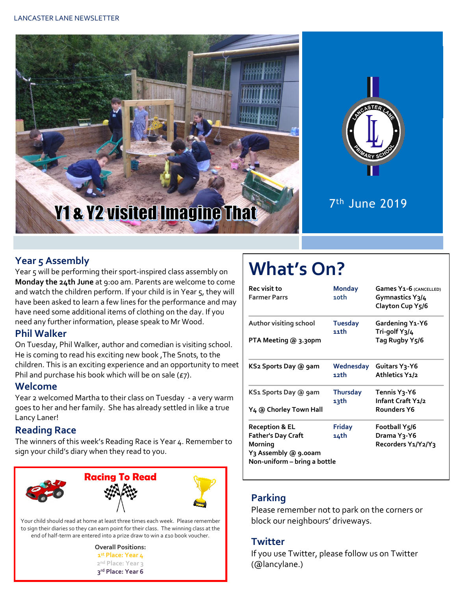



7 th June 2019

#### **Year 5 Assembly**

Year 5 will be performing their sport-inspired class assembly on **Monday the 24th June** at 9:00 am. Parents are welcome to come and watch the children perform. If your child is in Year 5, they will have been asked to learn a few lines for the performance and may have need some additional items of clothing on the day. If you need any further information, please speak to Mr Wood.

#### **Phil Walker**

On Tuesday, Phil Walker, author and comedian is visiting school. He is coming to read his exciting new book ,The Snots, to the children. This is an exciting experience and an opportunity to meet Phil and purchase his book which will be on sale  $(E7)$ .

#### **Welcome**

Year 2 welcomed Martha to their class on Tuesday - a very warm goes to her and her family. She has already settled in like a true Lancy Laner!

#### **Reading Race**

The winners of this week's Reading Race is Year 4. Remember to sign your child's diary when they read to you.



Your child should read at home at least three times each week. Please remember to sign their diaries so they can earn point for their class. The winning class at the end of half-term are entered into a prize draw to win a £10 book voucher.



# **What's On?**

| <b>Rec</b> visit to<br><b>Farmer Parrs</b> | <b>Monday</b><br>10th  | Games Y1-6 (CANCELLED)<br>Gymnastics Y3/4<br>Clayton Cup Y5/6<br>Gardening Y1-Y6<br>Tri-golf Y3/4 |  |  |
|--------------------------------------------|------------------------|---------------------------------------------------------------------------------------------------|--|--|
| Author visiting school                     | <b>Tuesday</b><br>11th |                                                                                                   |  |  |
| PTA Meeting @ 3.30pm                       |                        | Tag Rugby Y <sub>5</sub> /6                                                                       |  |  |
| KS2 Sports Day @ 9am                       | Wednesday              | Guitars Y <sub>3</sub> -Y6                                                                        |  |  |
|                                            | 12th                   | Athletics Y1/2                                                                                    |  |  |
| KS1 Sports Day @ 9am                       | <b>Thursday</b>        | Tennis Y3-Y6                                                                                      |  |  |
|                                            | 13th                   | Infant Craft Y1/2                                                                                 |  |  |
| Y4 @ Chorley Town Hall                     |                        | Rounders Y6                                                                                       |  |  |
| <b>Reception &amp; EL</b>                  | <b>Friday</b>          | Football Y5/6                                                                                     |  |  |
| <b>Father's Day Craft</b>                  | 14th                   | Drama Y3-Y6                                                                                       |  |  |
| Morning                                    |                        | Recorders Y1/Y2/Y3                                                                                |  |  |
| Y3 Assembly @ 9.00am                       |                        |                                                                                                   |  |  |
| Non-uniform – bring a bottle               |                        |                                                                                                   |  |  |

#### **Parking**

Please remember not to park on the corners or block our neighbours' driveways.

#### **Twitter**

If you use Twitter, please follow us on Twitter (@lancylane.)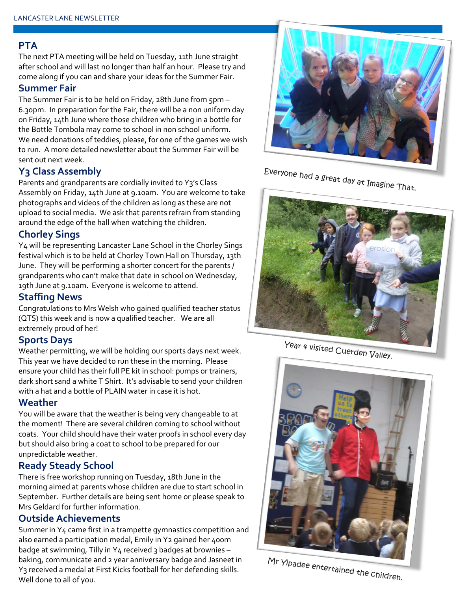#### **PTA**

The next PTA meeting will be held on Tuesday, 11th June straight after school and will last no longer than half an hour. Please try and come along if you can and share your ideas for the Summer Fair.

#### **Summer Fair**

The Summer Fair is to be held on Friday, 28th June from 5pm – 6.30pm. In preparation for the Fair, there will be a non uniform day on Friday, 14th June where those children who bring in a bottle for the Bottle Tombola may come to school in non school uniform. We need donations of teddies, please, for one of the games we wish to run. A more detailed newsletter about the Summer Fair will be sent out next week.

#### **Y3 Class Assembly**

Parents and grandparents are cordially invited to Y3's Class Assembly on Friday, 14th June at 9.10am. You are welcome to take photographs and videos of the children as long as these are not upload to social media. We ask that parents refrain from standing around the edge of the hall when watching the children.

#### **Chorley Sings**

Y4 will be representing Lancaster Lane School in the Chorley Sings festival which is to be held at Chorley Town Hall on Thursday, 13th June. They will be performing a shorter concert for the parents / grandparents who can't make that date in school on Wednesday, 19th June at 9.10am. Everyone is welcome to attend.

#### **Staffing News**

Congratulations to Mrs Welsh who gained qualified teacher status (QTS) this week and is now a qualified teacher. We are all extremely proud of her!

#### **Sports Days**

Weather permitting, we will be holding our sports days next week. This year we have decided to run these in the morning. Please ensure your child has their full PE kit in school: pumps or trainers, dark short sand a white T Shirt. It's advisable to send your children with a hat and a bottle of PLAIN water in case it is hot.

#### **Weather**

You will be aware that the weather is being very changeable to at the moment! There are several children coming to school without coats. Your child should have their water proofs in school every day but should also bring a coat to school to be prepared for our unpredictable weather.

#### **Ready Steady School**

There is free workshop running on Tuesday, 18th June in the morning aimed at parents whose children are due to start school in September. Further details are being sent home or please speak to Mrs Geldard for further information.

#### **Outside Achievements**

Summer in Y4 came first in a trampette gymnastics competition and also earned a participation medal, Emily in Y2 gained her 400m badge at swimming, Tilly in Y4 received 3 badges at brownies baking, communicate and 2 year anniversary badge and Jasneet in Y3 received a medal at First Kicks football for her defending skills. Well done to all of you.



# Everyone had a great day at Imagine That.



Year 4 visited Cuerden Valley.



Mr Yipadee entertained the children.